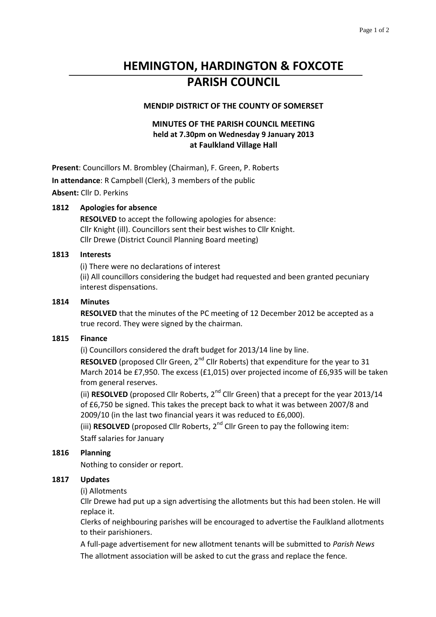# **HEMINGTON, HARDINGTON & FOXCOTE PARISH COUNCIL**

## **MENDIP DISTRICT OF THE COUNTY OF SOMERSET**

# **MINUTES OF THE PARISH COUNCIL MEETING held at 7.30pm on Wednesday 9 January 2013 at Faulkland Village Hall**

**Present**: Councillors M. Brombley (Chairman), F. Green, P. Roberts **In attendance**: R Campbell (Clerk), 3 members of the public **Absent:** Cllr D. Perkins

## **1812 Apologies for absence**

**RESOLVED** to accept the following apologies for absence: Cllr Knight (ill). Councillors sent their best wishes to Cllr Knight. Cllr Drewe (District Council Planning Board meeting)

## **1813 Interests**

(i) There were no declarations of interest (ii) All councillors considering the budget had requested and been granted pecuniary interest dispensations.

#### **1814 Minutes**

**RESOLVED** that the minutes of the PC meeting of 12 December 2012 be accepted as a true record. They were signed by the chairman.

#### **1815 Finance**

(i) Councillors considered the draft budget for 2013/14 line by line.

**RESOLVED** (proposed Cllr Green, 2<sup>nd</sup> Cllr Roberts) that expenditure for the year to 31 March 2014 be £7,950. The excess (£1,015) over projected income of £6,935 will be taken from general reserves.

(ii) **RESOLVED** (proposed Cllr Roberts, 2<sup>nd</sup> Cllr Green) that a precept for the year 2013/14 of £6,750 be signed. This takes the precept back to what it was between 2007/8 and 2009/10 (in the last two financial years it was reduced to £6,000).

(iii) **RESOLVED** (proposed Cllr Roberts, 2nd Cllr Green to pay the following item: Staff salaries for January

## **1816 Planning**

Nothing to consider or report.

#### **1817 Updates**

#### (i) Allotments

Cllr Drewe had put up a sign advertising the allotments but this had been stolen. He will replace it.

Clerks of neighbouring parishes will be encouraged to advertise the Faulkland allotments to their parishioners.

A full-page advertisement for new allotment tenants will be submitted to *Parish News* The allotment association will be asked to cut the grass and replace the fence.